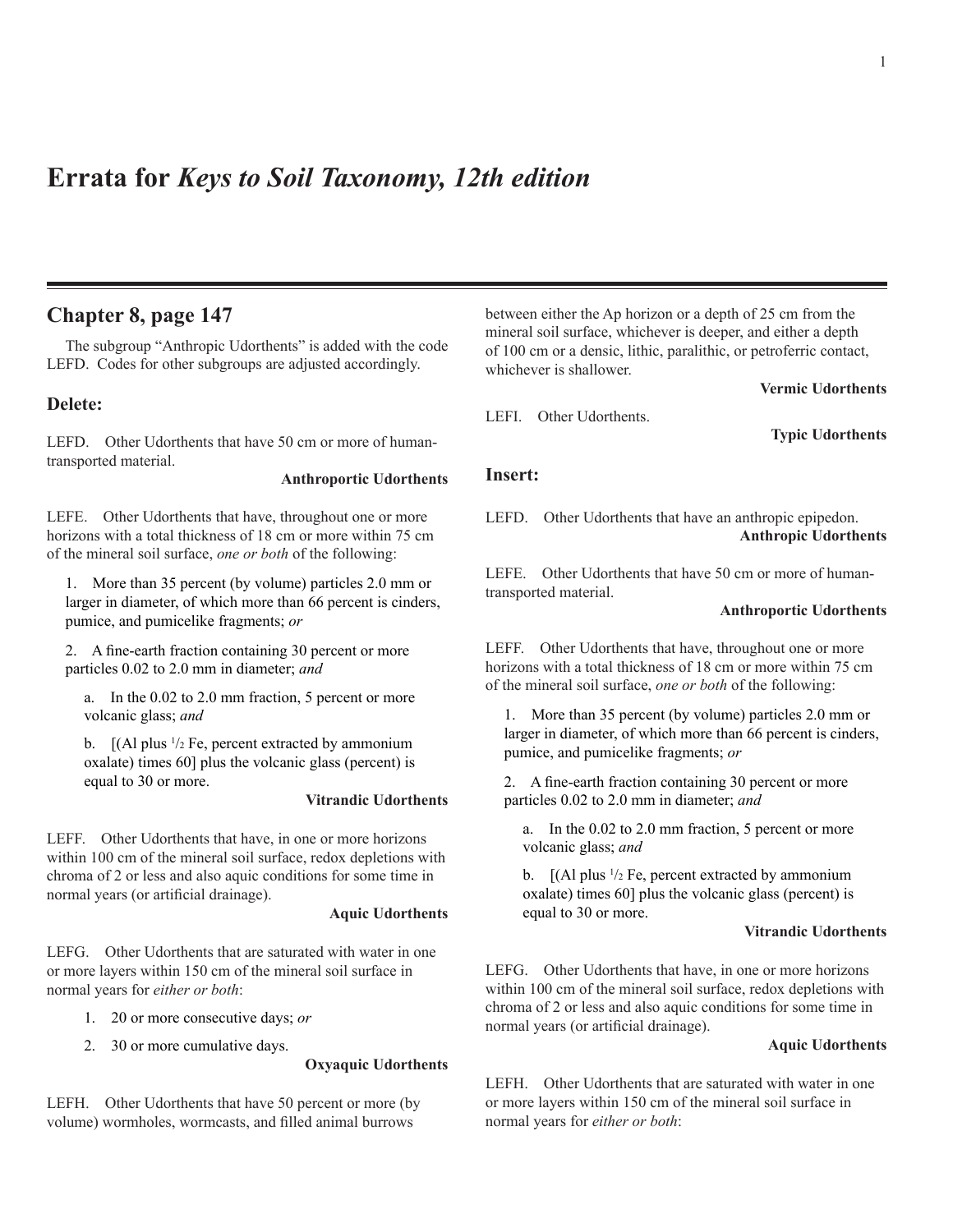# **Errata for** *Keys to Soil Taxonomy, 12th edition*

# **Chapter 8, page 147**

The subgroup "Anthropic Udorthents" is added with the code LEFD. Codes for other subgroups are adjusted accordingly.

## **Delete:**

LEFD. Other Udorthents that have 50 cm or more of humantransported material.

#### **Anthroportic Udorthents**

LEFE. Other Udorthents that have, throughout one or more horizons with a total thickness of 18 cm or more within 75 cm of the mineral soil surface, *one or both* of the following:

1. More than 35 percent (by volume) particles 2.0 mm or larger in diameter, of which more than 66 percent is cinders, pumice, and pumicelike fragments; *or*

2. A fine-earth fraction containing 30 percent or more particles 0.02 to 2.0 mm in diameter; *and*

a. In the 0.02 to 2.0 mm fraction, 5 percent or more volcanic glass; *and*

b.  $[(\text{Al plus } \frac{1}{2} \text{ Fe}, \text{percent extracted by ammonium}$ oxalate) times 60] plus the volcanic glass (percent) is equal to 30 or more.

#### **Vitrandic Udorthents**

LEFF. Other Udorthents that have, in one or more horizons within 100 cm of the mineral soil surface, redox depletions with chroma of 2 or less and also aquic conditions for some time in normal years (or artificial drainage).

### **Aquic Udorthents**

LEFG. Other Udorthents that are saturated with water in one or more layers within 150 cm of the mineral soil surface in normal years for *either or both*:

- 1. 20 or more consecutive days; *or*
- 2. 30 or more cumulative days.

## **Oxyaquic Udorthents**

LEFH. Other Udorthents that have 50 percent or more (by volume) wormholes, wormcasts, and filled animal burrows

between either the Ap horizon or a depth of 25 cm from the mineral soil surface, whichever is deeper, and either a depth of 100 cm or a densic, lithic, paralithic, or petroferric contact, whichever is shallower.

**Vermic Udorthents**

LEFI. Other Udorthents.

**Typic Udorthents**

## **Insert:**

LEFD. Other Udorthents that have an anthropic epipedon. **Anthropic Udorthents**

LEFE. Other Udorthents that have 50 cm or more of humantransported material.

## **Anthroportic Udorthents**

LEFF. Other Udorthents that have, throughout one or more horizons with a total thickness of 18 cm or more within 75 cm of the mineral soil surface, *one or both* of the following:

1. More than 35 percent (by volume) particles 2.0 mm or larger in diameter, of which more than 66 percent is cinders, pumice, and pumicelike fragments; *or*

2. A fine-earth fraction containing 30 percent or more particles 0.02 to 2.0 mm in diameter; *and*

a. In the 0.02 to 2.0 mm fraction, 5 percent or more volcanic glass; *and*

b.  $[(\text{Al plus } \frac{1}{2} \text{ Fe}, \text{percent extracted by ammonium})]$ oxalate) times 60] plus the volcanic glass (percent) is equal to 30 or more.

### **Vitrandic Udorthents**

LEFG. Other Udorthents that have, in one or more horizons within 100 cm of the mineral soil surface, redox depletions with chroma of 2 or less and also aquic conditions for some time in normal years (or artificial drainage).

## **Aquic Udorthents**

LEFH. Other Udorthents that are saturated with water in one or more layers within 150 cm of the mineral soil surface in normal years for *either or both*: